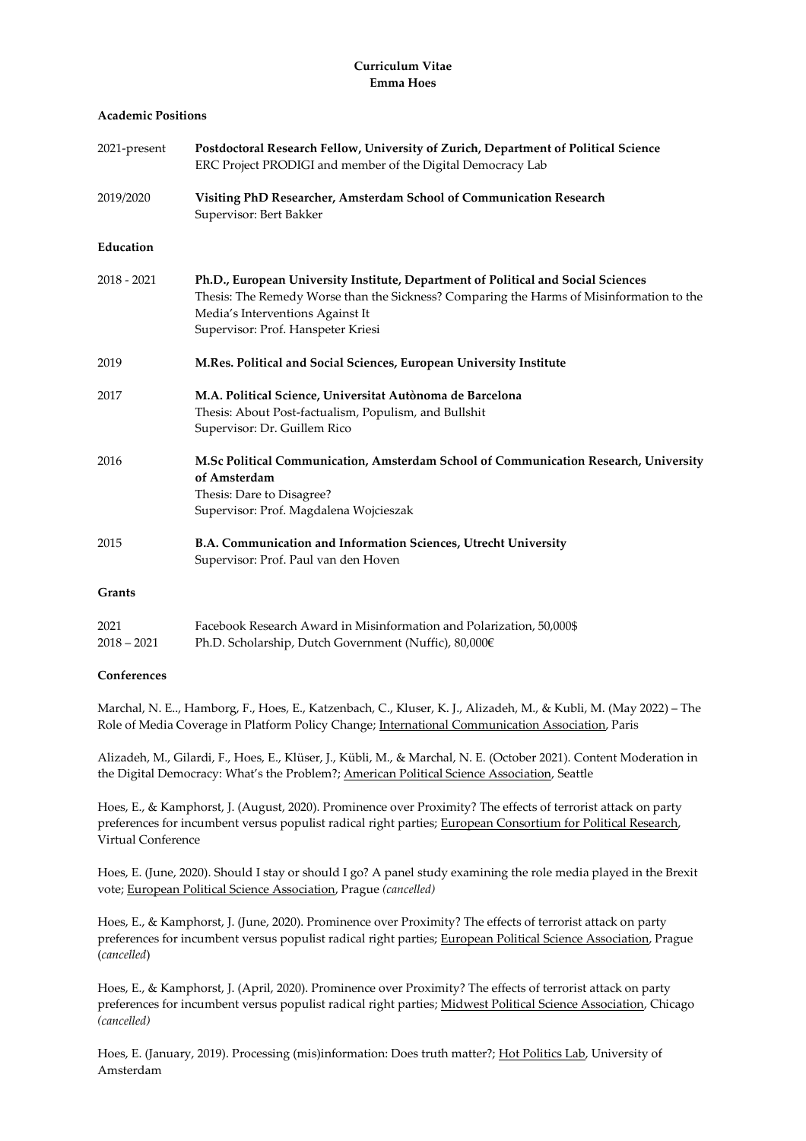# **Curriculum Vitae Emma Hoes**

## **Academic Positions**

| 2021-present  | Postdoctoral Research Fellow, University of Zurich, Department of Political Science<br>ERC Project PRODIGI and member of the Digital Democracy Lab                                                                                                      |
|---------------|---------------------------------------------------------------------------------------------------------------------------------------------------------------------------------------------------------------------------------------------------------|
| 2019/2020     | Visiting PhD Researcher, Amsterdam School of Communication Research<br>Supervisor: Bert Bakker                                                                                                                                                          |
| Education     |                                                                                                                                                                                                                                                         |
| $2018 - 2021$ | Ph.D., European University Institute, Department of Political and Social Sciences<br>Thesis: The Remedy Worse than the Sickness? Comparing the Harms of Misinformation to the<br>Media's Interventions Against It<br>Supervisor: Prof. Hanspeter Kriesi |
| 2019          | M.Res. Political and Social Sciences, European University Institute                                                                                                                                                                                     |
| 2017          | M.A. Political Science, Universitat Autònoma de Barcelona<br>Thesis: About Post-factualism, Populism, and Bullshit<br>Supervisor: Dr. Guillem Rico                                                                                                      |
| 2016          | M.Sc Political Communication, Amsterdam School of Communication Research, University<br>of Amsterdam<br>Thesis: Dare to Disagree?<br>Supervisor: Prof. Magdalena Wojcieszak                                                                             |
| 2015          | B.A. Communication and Information Sciences, Utrecht University<br>Supervisor: Prof. Paul van den Hoven                                                                                                                                                 |
| Grants        |                                                                                                                                                                                                                                                         |

| 2021        | Facebook Research Award in Misinformation and Polarization, 50,000\$ |
|-------------|----------------------------------------------------------------------|
| 2018 – 2021 | Ph.D. Scholarship, Dutch Government (Nuffic), 80,000€                |

# **Conferences**

Marchal, N. E.., Hamborg, F., Hoes, E., Katzenbach, C., Kluser, K. J., Alizadeh, M., & Kubli, M. (May 2022) – The Role of Media Coverage in Platform Policy Change; International Communication Association, Paris

Alizadeh, M., Gilardi, F., Hoes, E., Klüser, J., Kübli, M., & Marchal, N. E. (October 2021). Content Moderation in the Digital Democracy: What's the Problem?; American Political Science Association, Seattle

Hoes, E., & Kamphorst, J. (August, 2020). Prominence over Proximity? The effects of terrorist attack on party preferences for incumbent versus populist radical right parties; European Consortium for Political Research, Virtual Conference

Hoes, E. (June, 2020). Should I stay or should I go? A panel study examining the role media played in the Brexit vote; European Political Science Association, Prague *(cancelled)*

Hoes, E., & Kamphorst, J. (June, 2020). Prominence over Proximity? The effects of terrorist attack on party preferences for incumbent versus populist radical right parties; European Political Science Association, Prague (*cancelled*)

Hoes, E., & Kamphorst, J. (April, 2020). Prominence over Proximity? The effects of terrorist attack on party preferences for incumbent versus populist radical right parties; Midwest Political Science Association, Chicago *(cancelled)*

Hoes, E. (January, 2019). Processing (mis)information: Does truth matter?; Hot Politics Lab, University of Amsterdam